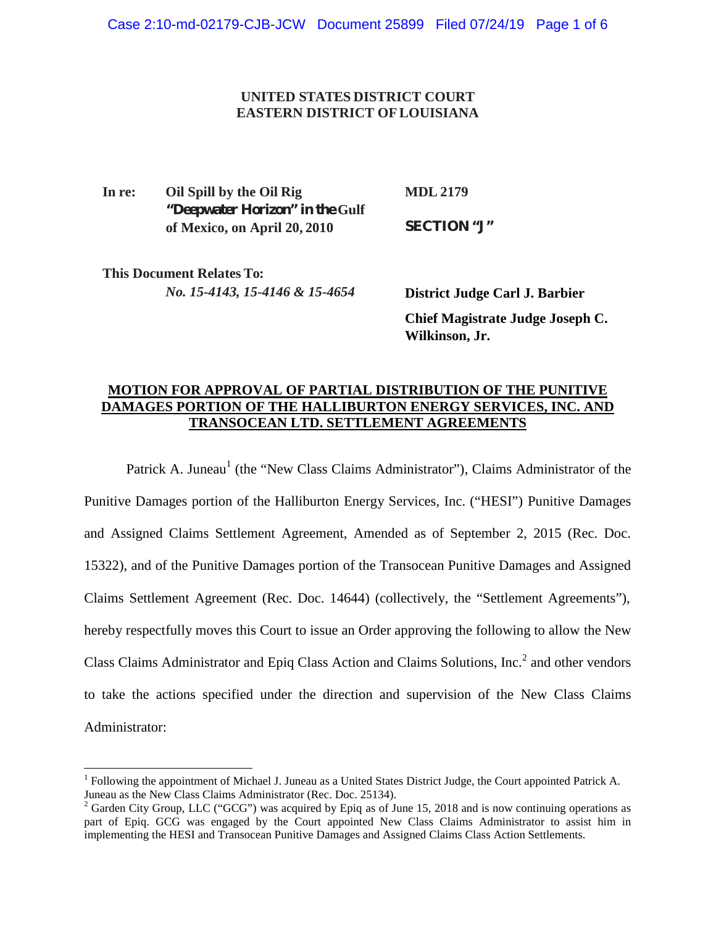## **UNITED STATES DISTRICT COURT EASTERN DISTRICT OFLOUISIANA**

**In re: Oil Spill by the Oil Rig "Deepwater Horizon" in the Gulf of Mexico, on April 20, 2010 MDL 2179 SECTION "J"**

**This Document Relates To:** *No. 15-4143, 15-4146 & 15-4654*

**District Judge Carl J. Barbier Chief Magistrate Judge Joseph C. Wilkinson, Jr.**

## **MOTION FOR APPROVAL OF PARTIAL DISTRIBUTION OF THE PUNITIVE DAMAGES PORTION OF THE HALLIBURTON ENERGY SERVICES, INC. AND TRANSOCEAN LTD. SETTLEMENT AGREEMENTS**

Patrick A. Juneau<sup>1</sup> (the "New Class Claims Administrator"), Claims Administrator of the Punitive Damages portion of the Halliburton Energy Services, Inc. ("HESI") Punitive Damages and Assigned Claims Settlement Agreement, Amended as of September 2, 2015 (Rec. Doc. 15322), and of the Punitive Damages portion of the Transocean Punitive Damages and Assigned Claims Settlement Agreement (Rec. Doc. 14644) (collectively, the "Settlement Agreements"), hereby respectfully moves this Court to issue an Order approving the following to allow the New Class Claims Administrator and Epiq Class Action and Claims Solutions, Inc.<sup>2</sup> and other vendors to take the actions specified under the direction and supervision of the New Class Claims Administrator:

<sup>&</sup>lt;sup>1</sup> Following the appointment of Michael J. Juneau as a United States District Judge, the Court appointed Patrick A. Juneau as the New Class Claims Administrator (Rec. Doc. 25134).<br><sup>2</sup> Garden City Group, LLC ("GCG") was acquired by Epiq as of June 15, 2018 and is now continuing operations as

part of Epiq. GCG was engaged by the Court appointed New Class Claims Administrator to assist him in implementing the HESI and Transocean Punitive Damages and Assigned Claims Class Action Settlements.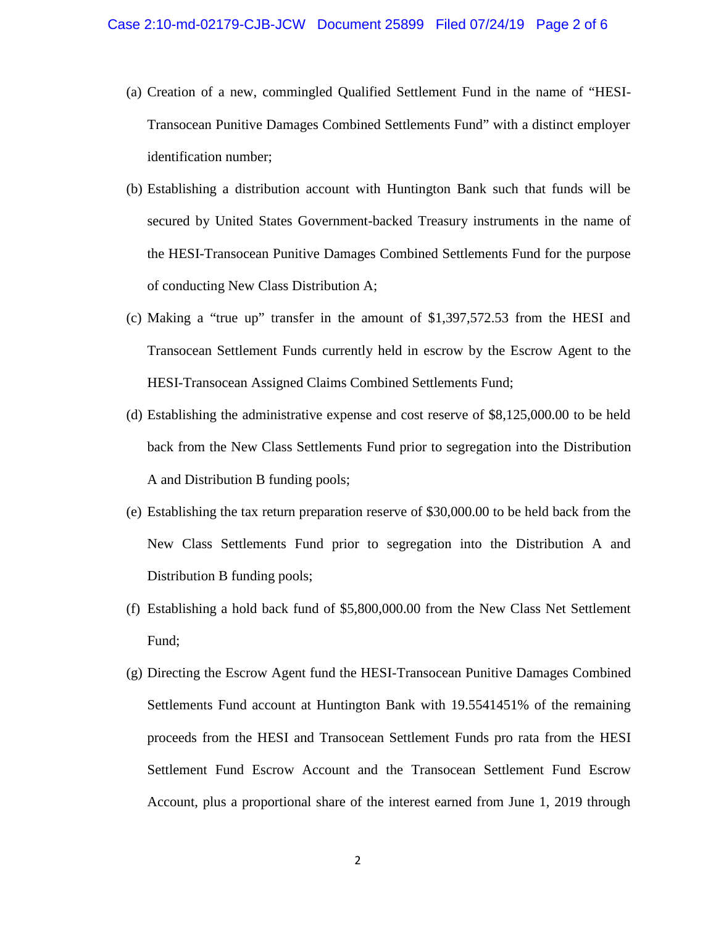- (a) Creation of a new, commingled Qualified Settlement Fund in the name of "HESI- Transocean Punitive Damages Combined Settlements Fund" with a distinct employer identification number;
- (b) Establishing a distribution account with Huntington Bank such that funds will be secured by United States Government-backed Treasury instruments in the name of the HESI-Transocean Punitive Damages Combined Settlements Fund for the purpose of conducting New Class Distribution A;
- (c) Making a "true up" transfer in the amount of \$1,397,572.53 from the HESI and Transocean Settlement Funds currently held in escrow by the Escrow Agent to the HESI-Transocean Assigned Claims Combined Settlements Fund;
- (d) Establishing the administrative expense and cost reserve of \$8,125,000.00 to be held back from the New Class Settlements Fund prior to segregation into the Distribution A and Distribution B funding pools;
- (e) Establishing the tax return preparation reserve of \$30,000.00 to be held back from the New Class Settlements Fund prior to segregation into the Distribution A and Distribution B funding pools;
- (f) Establishing a hold back fund of \$5,800,000.00 from the New Class Net Settlement Fund;
- (g) Directing the Escrow Agent fund the HESI-Transocean Punitive Damages Combined Settlements Fund account at Huntington Bank with 19.5541451% of the remaining proceeds from the HESI and Transocean Settlement Funds pro rata from the HESI Settlement Fund Escrow Account and the Transocean Settlement Fund Escrow Account, plus a proportional share of the interest earned from June 1, 2019 through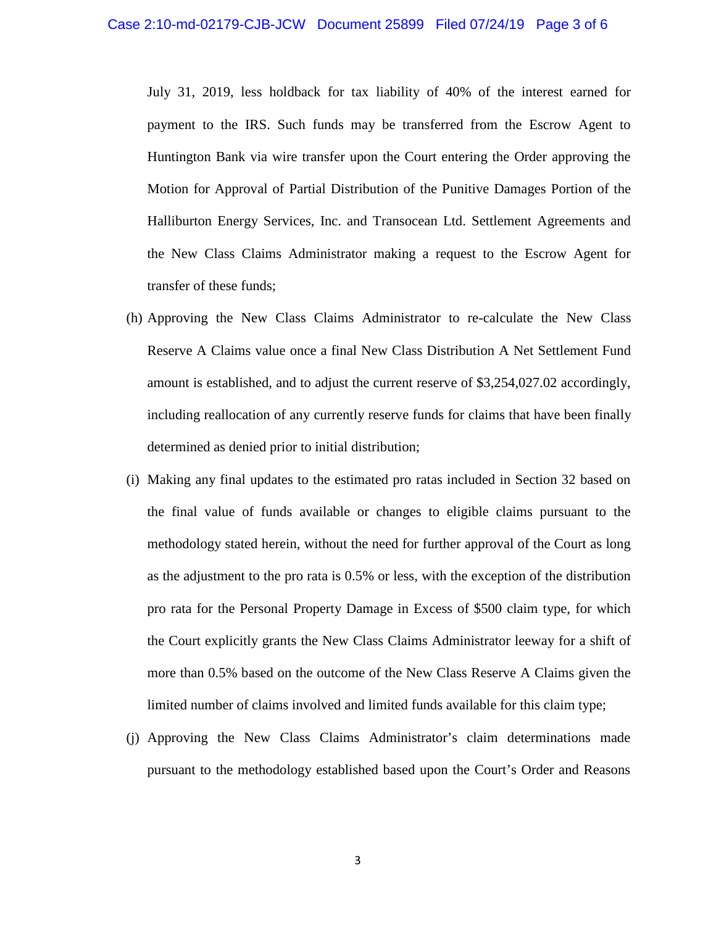July 31, 2019, less holdback for tax liability of 40% of the interest earned for payment to the IRS. Such funds may be transferred from the Escrow Agent to Huntington Bank via wire transfer upon the Court entering the Order approving the Motion for Approval of Partial Distribution of the Punitive Damages Portion of the Halliburton Energy Services, Inc. and Transocean Ltd. Settlement Agreements and the New Class Claims Administrator making a request to the Escrow Agent for transfer of these funds;

- (h) Approving the New Class Claims Administrator to re-calculate the New Class Reserve A Claims value once a final New Class Distribution A Net Settlement Fund amount is established, and to adjust the current reserve of \$3,254,027.02 accordingly, including reallocation of any currently reserve funds for claims that have been finally determined as denied prior to initial distribution;
- (i) Making any final updates to the estimated pro ratas included in Section 32 based on the final value of funds available or changes to eligible claims pursuant to the methodology stated herein, without the need for further approval of the Court as long as the adjustment to the pro rata is 0.5% or less, with the exception of the distribution pro rata for the Personal Property Damage in Excess of \$500 claim type, for which the Court explicitly grants the New Class Claims Administrator leeway for a shift of more than 0.5% based on the outcome of the New Class Reserve A Claims given the limited number of claims involved and limited funds available for this claim type;
- (j) Approving the New Class Claims Administrator's claim determinations made pursuant to the methodology established based upon the Court's Order and Reasons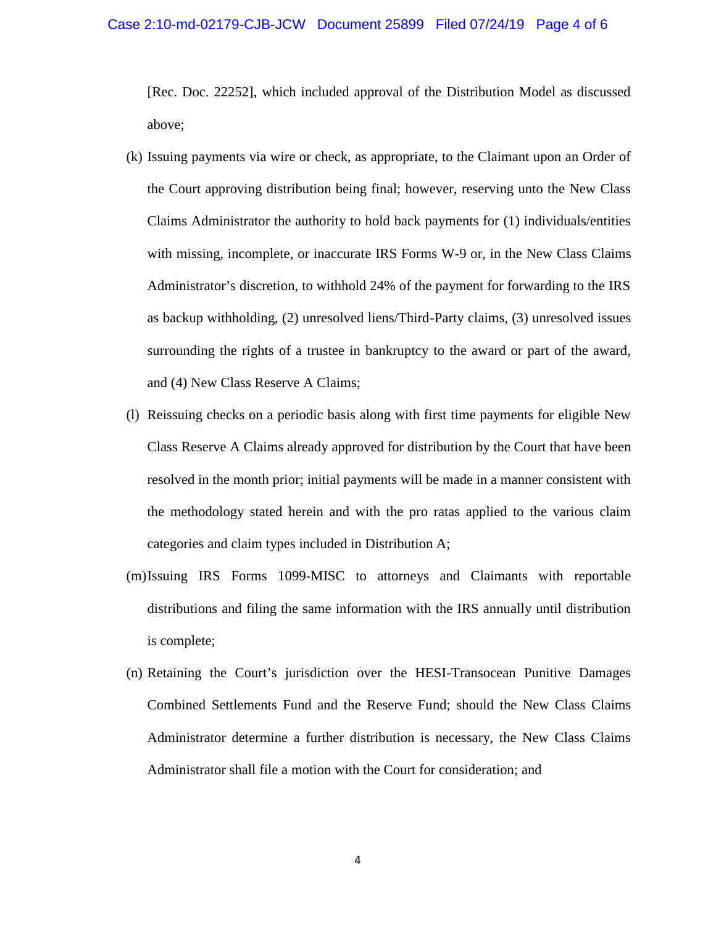## Case 2:10-md-02179-CJB-JCW Document 25899 Filed 07/24/19 Page 4 of 6

[Rec. Doc. 22252], which included approval of the Distribution Model as discussed above;

- (k) Issuing payments via wire or check, as appropriate, to the Claimant upon an Order of the Court approving distribution being final; however, reserving unto the New Class Claims Administrator the authority to hold back payments for (1) individuals/entities with missing, incomplete, or inaccurate IRS Forms W-9 or, in the New Class Claims Administrator's discretion, to withhold 24% of the payment for forwarding to the IRS as backup withholding, (2) unresolved liens/Third-Party claims, (3) unresolved issues surrounding the rights of a trustee in bankruptcy to the award or part of the award, and (4) New Class Reserve A Claims;
- (l) Reissuing checks on a periodic basis along with first time payments for eligible New Class Reserve A Claims already approved for distribution by the Court that have been resolved in the month prior; initial payments will be made in a manner consistent with the methodology stated herein and with the pro ratas applied to the various claim categories and claim types included in Distribution A;
- (m)Issuing IRS Forms 1099-MISC to attorneys and Claimants with reportable distributions and filing the same information with the IRS annually until distribution is complete;
- (n) Retaining the Court's jurisdiction over the HESI-Transocean Punitive Damages Combined Settlements Fund and the Reserve Fund; should the New Class Claims Administrator determine a further distribution is necessary, the New Class Claims Administrator shall file a motion with the Court for consideration; and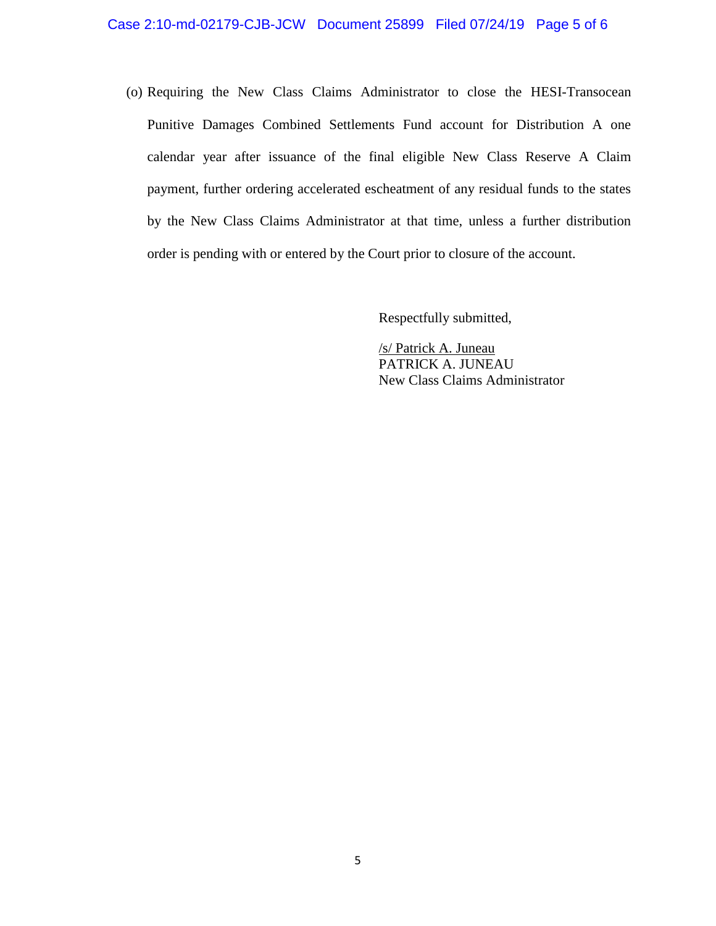(o) Requiring the New Class Claims Administrator to close the HESI-Transocean Punitive Damages Combined Settlements Fund account for Distribution A one calendar year after issuance of the final eligible New Class Reserve A Claim payment, further ordering accelerated escheatment of any residual funds to the states by the New Class Claims Administrator at that time, unless a further distribution order is pending with or entered by the Court prior to closure of the account.

Respectfully submitted,

/s/ Patrick A. Juneau PATRICK A. JUNEAU New Class Claims Administrator